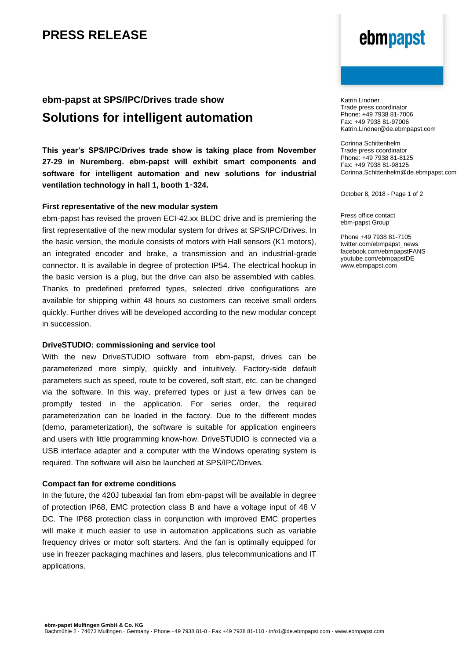## **PRESS RELEASE**

## **ebm-papst at SPS/IPC/Drives trade show Solutions for intelligent automation**

**This year's SPS/IPC/Drives trade show is taking place from November 27-29 in Nuremberg. ebm-papst will exhibit smart components and software for intelligent automation and new solutions for industrial ventilation technology in hall 1, booth 1**‑**324.** 

### **First representative of the new modular system**

ebm-papst has revised the proven ECI-42.xx BLDC drive and is premiering the first representative of the new modular system for drives at SPS/IPC/Drives. In the basic version, the module consists of motors with Hall sensors (K1 motors), an integrated encoder and brake, a transmission and an industrial-grade connector. It is available in degree of protection IP54. The electrical hookup in the basic version is a plug, but the drive can also be assembled with cables. Thanks to predefined preferred types, selected drive configurations are available for shipping within 48 hours so customers can receive small orders quickly. Further drives will be developed according to the new modular concept in succession.

### **DriveSTUDIO: commissioning and service tool**

With the new DriveSTUDIO software from ebm-papst, drives can be parameterized more simply, quickly and intuitively. Factory-side default parameters such as speed, route to be covered, soft start, etc. can be changed via the software. In this way, preferred types or just a few drives can be promptly tested in the application. For series order, the required parameterization can be loaded in the factory. Due to the different modes (demo, parameterization), the software is suitable for application engineers and users with little programming know-how. DriveSTUDIO is connected via a USB interface adapter and a computer with the Windows operating system is required. The software will also be launched at SPS/IPC/Drives.

#### **Compact fan for extreme conditions**

In the future, the 420J tubeaxial fan from ebm-papst will be available in degree of protection IP68, EMC protection class B and have a voltage input of 48 V DC. The IP68 protection class in conjunction with improved EMC properties will make it much easier to use in automation applications such as variable frequency drives or motor soft starters. And the fan is optimally equipped for use in freezer packaging machines and lasers, plus telecommunications and IT applications.

# ebmpapst

Katrin Lindner Trade press coordinator Phone: +49 7938 81-7006 Fax: +49 7938 81-97006 Katrin.Lindner@de.ebmpapst.com

Corinna Schittenhelm Trade press coordinator Phone: +49 7938 81-8125 Fax: +49 7938 81-98125 Corinna.Schittenhelm@de.ebmpapst.com

October 8, 2018 - Page 1 of 2

Press office contact ebm-papst Group

Phone +49 7938 81-7105 twitter.com/ebmpapst\_news facebook.com/ebmpapstFANS youtube.com/ebmpapstDE www.ebmpapst.com